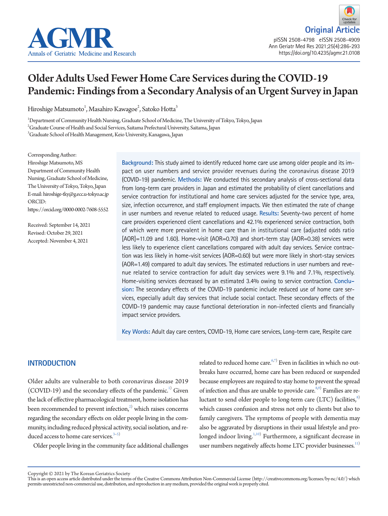



# Older Adults Used Fewer Home Care Services during the COVID-19 Pandemic: Findings from a Secondary Analysis of an Urgent Survey in Japan

Hiroshige Matsumoto<sup>1</sup>, Masahiro Kawagoe<sup>2</sup>, Satoko Hotta<sup>3</sup>

1 Department of Community Health Nursing, Graduate School of Medicine, The University of Tokyo, Tokyo, Japan  $^2$ Graduate Course of Health and Social Services, Saitama Prefectural University, Saitama, Japan  ${}^{3}$ Graduate School of Health Management, Keio University, Kanagawa, Japan

Corresponding Author: Hiroshige Matsumoto, MS Department of Community Health Nursing, Graduate School of Medicine, The University of Tokyo, Tokyo, Japan E-mail: hiroshige-tky@g.ecc.u-tokyo.ac.jp ORCID:

https://orcid.org/0000-0002-7608-5552

Received: September 14, 2021 Revised: October 29, 2021 Accepted: November 4, 2021

**Background:** This study aimed to identify reduced home care use among older people and its impact on user numbers and service provider revenues during the coronavirus disease 2019 (COVID-19) pandemic. **Methods:** We conducted this secondary analysis of cross-sectional data from long-term care providers in Japan and estimated the probability of client cancellations and service contraction for institutional and home care services adjusted for the service type, area, size, infection occurrence, and staff employment impacts. We then estimated the rate of change in user numbers and revenue related to reduced usage. **Results:** Seventy-two percent of home care providers experienced client cancellations and 42.1% experienced service contraction, both of which were more prevalent in home care than in institutional care (adjusted odds ratio [AOR]=11.09 and 1.60). Home-visit (AOR=0.70) and short-term stay (AOR=0.38) services were less likely to experience client cancellations compared with adult day services. Service contraction was less likely in home-visit services (AOR=0.60) but were more likely in short-stay services (AOR=1.49) compared to adult day services. The estimated reductions in user numbers and revenue related to service contraction for adult day services were 9.1% and 7.1%, respectively. Home-visiting services decreased by an estimated 3.4% owing to service contraction. **Conclusion:** The secondary effects of the COVID-19 pandemic include reduced use of home care services, especially adult day services that include social contact. These secondary effects of the COVID-19 pandemic may cause functional deterioration in non-infected clients and financially impact service providers.

**Key Words:** Adult day care centers, COVID-19, Home care services, Long-term care, Respite care

# **INTRODUCTION**

Older adults are vulnerable to both coronavirus disease 2019 (COVID-19) and the secondary effects of the pandemic.<sup>1)</sup> Given the lack of effective pharmacological treatment, home isolation has been recommended to prevent infection, $^{2)}$  which raises concerns regarding the secondary effects on older people living in the community, including reduced physical activity, social isolation, and reduced access to home care services. $3-5$ )

Older people living in the community face additional challenges

related to reduced home care. $6,7)$  $6,7)$  $6,7)$  $6,7)$  Even in facilities in which no outbreaks have occurred, home care has been reduced or suspended because employees are required to stay home to prevent the spread of infection and thus are unable to provide care.<sup>8[,9](#page-6-6))</sup> Families are reluctant to send older people to long-term care  $(LTC)$  facilities, $\frac{8}{3}$ which causes confusion and stress not only to clients but also to family caregivers. The symptoms of people with dementia may also be aggravated by disruptions in their usual lifestyle and pro-longed indoor living.<sup>1,[10](#page-6-7))</sup> Furthermore, a significant decrease in user numbers negatively affects home LTC provider businesses.<sup>[11](#page-6-8))</sup>

Copyright © 2021 by The Korean Geriatrics Society<br>This is an open access article distributed under the terms of the Creative Commons Attribution Non-Commercial License (http://creativecommons.org/licenses/by-nc/4.0/) which permits unrestricted non-commercial use, distribution, and reproduction in any medium, provided the original work is properly cited.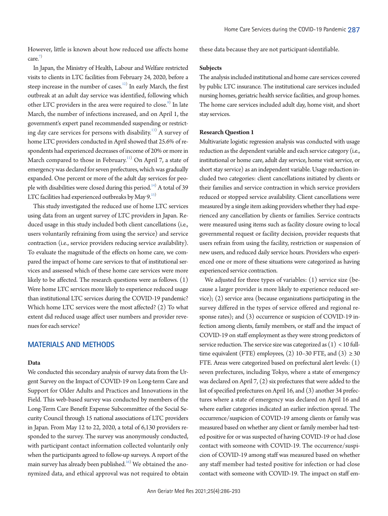However, little is known about how reduced use affects home care. $7)$  $7)$ 

In Japan, the Ministry of Health, Labour and Welfare restricted visits to clients in LTC facilities from February 24, 2020, before a steep increase in the number of cases. $^{12)}$  In early March, the first outbreak at an adult day service was identified, following which other LTC providers in the area were required to close.<sup>[9\)](#page-6-6)</sup> In late March, the number of infections increased, and on April 1, the government's expert panel recommended suspending or restricting day care services for persons with disability.<sup>13)</sup> A survey of home LTC providers conducted in April showed that 25.6% of respondents had experienced decreases of income of 20% or more in March compared to those in February.<sup>[11](#page-6-8))</sup> On April 7, a state of emergency was declared for seven prefectures, which was gradually expanded. One percent or more of the adult day services for people with disabilities were closed during this period. $^{14)}$  A total of 39 LTC facilities had experienced outbreaks by May  $9.15$  $9.15$ )

This study investigated the reduced use of home LTC services using data from an urgent survey of LTC providers in Japan. Reduced usage in this study included both client cancellations (i.e., users voluntarily refraining from using the service) and service contraction (i.e., service providers reducing service availability). To evaluate the magnitude of the effects on home care, we compared the impact of home care services to that of institutional services and assessed which of these home care services were more likely to be affected. The research questions were as follows. (1) Were home LTC services more likely to experience reduced usage than institutional LTC services during the COVID-19 pandemic? Which home LTC services were the most affected? (2) To what extent did reduced usage affect user numbers and provider revenues for each service?

# **MATERIALS AND METHODS**

### **Data**

We conducted this secondary analysis of survey data from the Urgent Survey on the Impact of COVID-19 on Long-term Care and Support for Older Adults and Practices and Innovations in the Field. This web-based survey was conducted by members of the Long-Term Care Benefit Expense Subcommittee of the Social Security Council through 15 national associations of LTC providers in Japan. From May 12 to 22, 2020, a total of 6,130 providers responded to the survey. The survey was anonymously conducted, with participant contact information collected voluntarily only when the participants agreed to follow-up surveys. A report of the main survey has already been published. $^{16)}$  We obtained the anonymized data, and ethical approval was not required to obtain these data because they are not participant-identifiable.

### **Subjects**

The analysis included institutional and home care services covered by public LTC insurance. The institutional care services included nursing homes, geriatric health service facilities, and group homes. The home care services included adult day, home visit, and short stay services.

### **Research Question 1**

Multivariate logistic regression analysis was conducted with usage reduction as the dependent variable and each service category (i.e., institutional or home care, adult day service, home visit service, or short stay service) as an independent variable. Usage reduction included two categories: client cancellations initiated by clients or their families and service contraction in which service providers reduced or stopped service availability. Client cancellations were measured by a single item asking providers whether they had experienced any cancellation by clients or families. Service contracts were measured using items such as facility closure owing to local governmental request or facility decision, provider requests that users refrain from using the facility, restriction or suspension of new users, and reduced daily service hours. Providers who experienced one or more of these situations were categorized as having experienced service contraction.

We adjusted for three types of variables: (1) service size (because a larger provider is more likely to experience reduced service); (2) service area (because organizations participating in the survey differed in the types of service offered and regional response rates); and (3) occurrence or suspicion of COVID-19 infection among clients, family members, or staff and the impact of COVID-19 on staff employment as they were strong predictors of service reduction. The service size was categorized as  $(1) < 10$  fulltime equivalent (FTE) employees, (2) 10–30 FTE, and (3)  $\geq$  30 FTE. Areas were categorized based on prefectural alert levels: (1) seven prefectures, including Tokyo, where a state of emergency was declared on April 7, (2) six prefectures that were added to the list of specified prefectures on April 16, and (3) another 34 prefectures where a state of emergency was declared on April 16 and where earlier categories indicated an earlier infection spread. The occurrence/suspicion of COVID-19 among clients or family was measured based on whether any client or family member had tested positive for or was suspected of having COVID-19 or had close contact with someone with COVID-19. The occurrence/suspicion of COVID-19 among staff was measured based on whether any staff member had tested positive for infection or had close contact with someone with COVID-19. The impact on staff em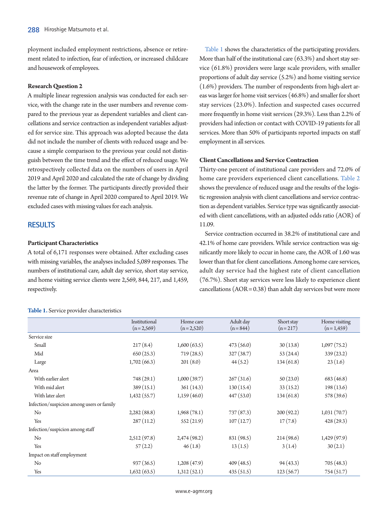ployment included employment restrictions, absence or retirement related to infection, fear of infection, or increased childcare and housework of employees.

#### **Research Question 2**

A multiple linear regression analysis was conducted for each service, with the change rate in the user numbers and revenue compared to the previous year as dependent variables and client cancellations and service contraction as independent variables adjusted for service size. This approach was adopted because the data did not include the number of clients with reduced usage and because a simple comparison to the previous year could not distinguish between the time trend and the effect of reduced usage. We retrospectively collected data on the numbers of users in April 2019 and April 2020 and calculated the rate of change by dividing the latter by the former. The participants directly provided their revenue rate of change in April 2020 compared to April 2019. We excluded cases with missing values for each analysis.

# **RESULTS**

### **Participant Characteristics**

A total of 6,171 responses were obtained. After excluding cases with missing variables, the analyses included 5,089 responses. The numbers of institutional care, adult day service, short stay service, and home visiting service clients were 2,569, 844, 217, and 1,459, respectively.

#### <span id="page-2-0"></span>**Table 1.** Service provider characteristics

[Table 1](#page-2-0) shows the characteristics of the participating providers. More than half of the institutional care (63.3%) and short stay service (61.8%) providers were large scale providers, with smaller proportions of adult day service (5.2%) and home visiting service (1.6%) providers. The number of respondents from high-alert areas was larger for home visit services (46.8%) and smaller for short stay services (23.0%). Infection and suspected cases occurred more frequently in home visit services (29.3%). Less than 2.2% of providers had infection or contact with COVID-19 patients for all services. More than 50% of participants reported impacts on staff employment in all services.

## **Client Cancellations and Service Contraction**

Thirty-one percent of institutional care providers and 72.0% of home care providers experienced client cancellations[.](#page-3-0) Table 2 shows the prevalence of reduced usage and the results of the logistic regression analysis with client cancellations and service contraction as dependent variables. Service type was significantly associated with client cancellations, with an adjusted odds ratio (AOR) of 11.09.

Service contraction occurred in 38.2% of institutional care and 42.1% of home care providers. While service contraction was significantly more likely to occur in home care, the AOR of 1.60 was lower than that for client cancellations. Among home care services, adult day service had the highest rate of client cancellation (76.7%). Short stay services were less likely to experience client cancellations  $(AOR = 0.38)$  than adult day services but were more

|                                           | Institutional<br>$(n=2,569)$ | Home care<br>$(n=2,520)$ | Adult day<br>$(n = 844)$ | Short stay<br>$(n=217)$ | Home visiting<br>$(n=1,459)$ |
|-------------------------------------------|------------------------------|--------------------------|--------------------------|-------------------------|------------------------------|
| Service size                              |                              |                          |                          |                         |                              |
| Small                                     | 217(8.4)                     | 1,600(63.5)              | 473 (56.0)               | 30(13.8)                | 1,097(75.2)                  |
| Mid                                       | 650(25.3)                    | 719(28.5)                | 327(38.7)                | 53(24.4)                | 339 (23.2)                   |
| Large                                     | 1,702(66.3)                  | 201(8.0)                 | 44(5.2)                  | 134(61.8)               | 23(1.6)                      |
| Area                                      |                              |                          |                          |                         |                              |
| With earlier alert                        | 748 (29.1)                   | 1,000(39.7)              | 267(31.6)                | 50(23.0)                | 683 (46.8)                   |
| With mid alert                            | 389(15.1)                    | 361(14.3)                | 130(15.4)                | 33(15.2)                | 198 (13.6)                   |
| With later alert                          | 1,432(55.7)                  | 1,159(46.0)              | 447 (53.0)               | 134(61.8)               | 578 (39.6)                   |
| Infection/suspicion among users or family |                              |                          |                          |                         |                              |
| No                                        | 2,282(88.8)                  | 1,968(78.1)              | 737 (87.3)               | 200(92.2)               | 1,031(70.7)                  |
| Yes                                       | 287(11.2)                    | 552(21.9)                | 107(12.7)                | 17(7.8)                 | 428(29.3)                    |
| Infection/suspicion among staff           |                              |                          |                          |                         |                              |
| No                                        | 2,512(97.8)                  | 2,474(98.2)              | 831 (98.5)               | 214(98.6)               | 1,429 (97.9)                 |
| Yes                                       | 57(2.2)                      | 46(1.8)                  | 13(1.5)                  | 3(1.4)                  | 30(2.1)                      |
| Impact on staff employment                |                              |                          |                          |                         |                              |
| No                                        | 937(36.5)                    | 1,208(47.9)              | 409(48.5)                | 94(43.3)                | 705 (48.3)                   |
| Yes                                       | 1,632(63.5)                  | 1,312(52.1)              | 435(51.5)                | 123(56.7)               | 754(51.7)                    |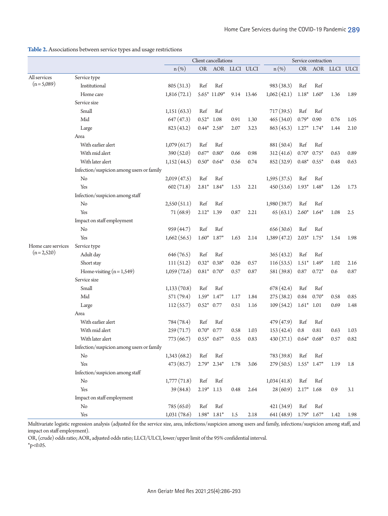<span id="page-3-0"></span>**Table 2.** Associations between service types and usage restrictions

|                    |                                           | Client cancellations |               |                            |      |            | Service contraction |                |                   |      |      |  |
|--------------------|-------------------------------------------|----------------------|---------------|----------------------------|------|------------|---------------------|----------------|-------------------|------|------|--|
|                    |                                           | $n$ (%)              |               | OR AOR LLCI ULCI           |      |            | $n$ (%)             |                | OR AOR LLCI ULCI  |      |      |  |
| All services       | Service type                              |                      |               |                            |      |            |                     |                |                   |      |      |  |
| $(n=5,089)$        | Institutional                             | 805 (31.3)           | Ref           | Ref                        |      |            | 983 (38.3)          | Ref            | Ref               |      |      |  |
|                    | Home care                                 | 1,816(72.1)          |               | $5.65*11.09*$              |      | 9.14 13.46 | 1,062(42.1)         | $1.18*$        | $1.60*$           | 1.36 | 1.89 |  |
|                    | Service size                              |                      |               |                            |      |            |                     |                |                   |      |      |  |
|                    | Small                                     | 1,151(63.3)          | Ref           | Ref                        |      |            | 717(39.5)           | Ref            | Ref               |      |      |  |
|                    | Mid                                       | 647(47.3)            | $0.52*$       | 1.08                       | 0.91 | 1.30       | 465(34.0)           | $0.79*$        | 0.90              | 0.76 | 1.05 |  |
|                    | Large                                     | 823 (43.2)           |               | $0.44*$ 2.58*              | 2.07 | 3.23       | 863(45.3)           |                | $1.27^*$ 1.74*    | 1.44 | 2.10 |  |
|                    | Area                                      |                      |               |                            |      |            |                     |                |                   |      |      |  |
|                    | With earlier alert                        | 1,079(61.7)          | Ref           | Ref                        |      |            | 881 (50.4)          | Ref            | Ref               |      |      |  |
|                    | With mid alert                            | 390 (52.0)           |               | $0.67^*$ 0.80*             | 0.66 | 0.98       | 312(41.6)           | $0.70^*$ 0.75* |                   | 0.63 | 0.89 |  |
|                    | With later alert                          | 1,152(44.5)          |               | $0.50^*$ 0.64*             | 0.56 | 0.74       | 852(32.9)           |                | $0.48^*$ $0.55^*$ | 0.48 | 0.63 |  |
|                    | Infection/suspicion among users or family |                      |               |                            |      |            |                     |                |                   |      |      |  |
|                    | No                                        | 2,019(47.5)          | Ref           | Ref                        |      |            | 1,595(37.5)         | Ref            | Ref               |      |      |  |
|                    | Yes                                       | 602(71.8)            |               | $2.81^*$ 1.84*             | 1.53 | 2.21       | 450(53.6)           |                | $1.93^*$ 1.48*    | 1.26 | 1.73 |  |
|                    | Infection/suspicion among staff           |                      |               |                            |      |            |                     |                |                   |      |      |  |
|                    | No                                        | 2,550(51.1)          | Ref           | Ref                        |      |            | 1,980(39.7)         | Ref            | Ref               |      |      |  |
|                    | Yes                                       | 71(68.9)             | $2.12*$       | 1.39                       | 0.87 | 2.21       | 65(63.1)            |                | $2.60^*$ 1.64*    | 1.08 | 2.5  |  |
|                    | Impact on staff employment                |                      |               |                            |      |            |                     |                |                   |      |      |  |
|                    | No                                        | 959(44.7)            | Ref           | Ref                        |      |            | 656(30.6)           | Ref            | Ref               |      |      |  |
|                    | Yes                                       | 1,662(56.5)          | $1.60*$       | $1.87*$                    | 1.63 | 2.14       | 1,389(47.2)         | $2.03*$        | $1.75*$           | 1.54 | 1.98 |  |
| Home care services | Service type                              |                      |               |                            |      |            |                     |                |                   |      |      |  |
| $(n=2,520)$        | Adult day                                 | 646 (76.5)           | Ref           | Ref                        |      |            | 365(43.2)           | Ref            | Ref               |      |      |  |
|                    | Short stay                                | 111(51.2)            | $0.32*$       | $0.38*$                    | 0.26 | 0.57       | 116(53.5)           | $1.51*$        | $1.49*$           | 1.02 | 2.16 |  |
|                    | Home-visiting $(n=1,549)$                 | 1,059(72.6)          |               | $0.81^*$ 0.70 <sup>*</sup> | 0.57 | 0.87       | 581 (39.8)          | 0.87           | $0.72*$           | 0.6  | 0.87 |  |
|                    | Service size                              |                      |               |                            |      |            |                     |                |                   |      |      |  |
|                    | Small                                     | 1,133(70.8)          | Ref           | Ref                        |      |            | 678(42.4)           | Ref            | Ref               |      |      |  |
|                    | Mid                                       | 571(79.4)            |               | $1.59^*$ 1.47*             | 1.17 | 1.84       | 275(38.2)           | 0.84           | $0.70*$           | 0.58 | 0.85 |  |
|                    | Large                                     | 112(55.7)            | $0.52^*$ 0.77 |                            | 0.51 | 1.16       | 109(54.2)           | $1.61^*$ 1.01  |                   | 0.69 | 1.48 |  |
|                    | Area                                      |                      |               |                            |      |            |                     |                |                   |      |      |  |
|                    | With earlier alert                        | 784 (78.4)           | Ref           | Ref                        |      |            | 479 (47.9)          | Ref            | Ref               |      |      |  |
|                    | With mid alert                            | 259(71.7)            | $0.70*$       | 0.77                       | 0.58 | 1.03       | 153(42.4)           | 0.8            | 0.81              | 0.63 | 1.03 |  |
|                    | With later alert                          | 773 (66.7)           |               | $0.55^*$ 0.67*             | 0.55 | 0.83       | 430(37.1)           | $0.64*$        | $0.68*$           | 0.57 | 0.82 |  |
|                    | Infection/suspicion among users or family |                      |               |                            |      |            |                     |                |                   |      |      |  |
|                    | No                                        | 1,343(68.2)          | Ref           | Ref                        |      |            | 783 (39.8)          | Ref            | Ref               |      |      |  |
|                    | Yes                                       | 473 (85.7)           |               | $2.79*$ 2.34*              | 1.78 | 3.06       | 279(50.5)           | $1.55^*$ 1.47* |                   | 1.19 | 1.8  |  |
|                    | Infection/suspicion among staff           |                      |               |                            |      |            |                     |                |                   |      |      |  |
|                    | No                                        | 1,777(71.8)          | Ref           | Ref                        |      |            | 1,034(41.8)         | Ref            | Ref               |      |      |  |
|                    | Yes                                       | 39(84.8)             | $2.19*$ 1.13  |                            | 0.48 | 2.64       | 28(60.9)            | $2.17*$ 1.68   |                   | 0.9  | 3.1  |  |
|                    | Impact on staff employment                |                      |               |                            |      |            |                     |                |                   |      |      |  |
|                    | No                                        | 785 (65.0)           | Ref           | Ref                        |      |            | 421 (34.9)          | Ref            | Ref               |      |      |  |
|                    | Yes                                       | 1,031(78.6)          |               | $1.98*$ $1.81*$            | 1.5  | 2.18       | 641 (48.9)          |                | $1.79^*$ 1.67*    | 1.42 | 1.98 |  |

Multivariate logistic regression analysis (adjusted for the service size, area, infections/suspicion among users and family, infections/suspicion among staff, and impact on staff employment).

OR, (crude) odds ratio; AOR, adjusted odds ratio; LLCI/ULCI, lower/upper limit of the 95% confidential interval.

 $*_{p<0.05}$ .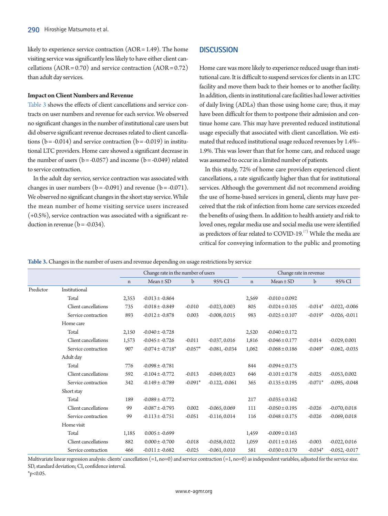likely to experience service contraction (AOR = 1.49). The home visiting service was significantly less likely to have either client cancellations  $(AOR = 0.70)$  and service contraction  $(AOR = 0.72)$ than adult day services.

### **Impact on Client Numbers and Revenue**

[Table 3](#page-4-0) shows the effects of client cancellations and service contracts on user numbers and revenue for each service. We observed no significant changes in the number of institutional care users but did observe significant revenue decreases related to client cancellations ( $b = -0.014$ ) and service contraction ( $b = -0.019$ ) in institutional LTC providers. Home care showed a significant decrease in the number of users  $(b = -0.057)$  and income  $(b = -0.049)$  related to service contraction.

In the adult day service, service contraction was associated with changes in user numbers  $(b = -0.091)$  and revenue  $(b = -0.071)$ . We observed no significant changes in the short stay service. While the mean number of home visiting service users increased (+0.5%), service contraction was associated with a significant reduction in revenue ( $b = -0.034$ ).

### **DISCUSSION**

Home care was more likely to experience reduced usage than institutional care. It is difficult to suspend services for clients in an LTC facility and move them back to their homes or to another facility. In addition, clients in institutional care facilities had lower activities of daily living (ADLs) than those using home care; thus, it may have been difficult for them to postpone their admission and continue home care. This may have prevented reduced institutional usage especially that associated with client cancellation. We estimated that reduced institutional usage reduced revenues by 1.4%– 1.9%. This was lower than that for home care, and reduced usage was assumed to occur in a limited number of patients.

In this study, 72% of home care providers experienced client cancellations, a rate significantly higher than that for institutional services. Although the government did not recommend avoiding the use of home-based services in general, clients may have perceived that the risk of infection from home care services exceeded the benefits of using them. In addition to health anxiety and risk to loved ones, regular media use and social media use were identified as predictors of fear related to COVID-19. $^{17)}$  While the media are critical for conveying information to the public and promoting

<span id="page-4-0"></span>**Table 3.** Changes in the number of users and revenue depending on usage restrictions by service

|           |                      | Change rate in the number of users |                                  |           | Change rate in revenue |             |                    |           |                  |
|-----------|----------------------|------------------------------------|----------------------------------|-----------|------------------------|-------------|--------------------|-----------|------------------|
|           |                      | $\mathbf n$                        | $Mean \pm SD$                    | b         | 95% CI                 | $\mathbf n$ | $Mean \pm SD$      | b.        | 95% CI           |
| Predictor | Institutional        |                                    |                                  |           |                        |             |                    |           |                  |
|           | Total                | 2,353                              | $-0.013 \pm -0.864$              |           |                        | 2,569       | $-0.010 \pm 0.092$ |           |                  |
|           | Client cancellations | 735                                | $-0.018 \pm -0.849$              | $-0.010$  | $-0.023, 0.003$        | 805         | $-0.024 \pm 0.105$ | $-0.014*$ | $-0.022, -0.006$ |
|           | Service contraction  | 893                                | $-0.012 \pm -0.878$              | 0.003     | $-0.008, 0.015$        | 983         | $-0.025 \pm 0.107$ | $-0.019*$ | $-0.026, -0.011$ |
|           | Home care            |                                    |                                  |           |                        |             |                    |           |                  |
|           | Total                | 2,150                              | $-0.040 \pm -0.728$              |           |                        | 2,520       | $-0.040 \pm 0.172$ |           |                  |
|           | Client cancellations | 1,573                              | $-0.045 \pm -0.726$              | $-0.011$  | $-0.037, 0.016$        | 1,816       | $-0.046 \pm 0.177$ | $-0.014$  | $-0.029, 0.001$  |
|           | Service contraction  | 907                                | $-0.074 \pm -0.718$ <sup>*</sup> | $-0.057*$ | $-0.081, -0.034$       | 1,062       | $-0.068 \pm 0.186$ | $-0.049*$ | $-0.062, -0.035$ |
|           | Adult day            |                                    |                                  |           |                        |             |                    |           |                  |
|           | Total                | 776                                | $-0.098 \pm 0.781$               |           |                        | 844         | $-0.094 \pm 0.175$ |           |                  |
|           | Client cancellations | 592                                | $-0.104 \pm -0.772$              | $-0.013$  | $-0.049, 0.023$        | 646         | $-0.101 \pm 0.178$ | $-0.025$  | $-0.053, 0.002$  |
|           | Service contraction  | 342                                | $-0.149 \pm -0.789$              | $-0.091*$ | $-0.122, -0.061$       | 365         | $-0.135 \pm 0.195$ | $-0.071*$ | $-0.095, -0.048$ |
|           | Short stay           |                                    |                                  |           |                        |             |                    |           |                  |
|           | Total                | 189                                | $-0.089 \pm 0.772$               |           |                        | 217         | $-0.035 \pm 0.162$ |           |                  |
|           | Client cancellations | 99                                 | $-0.087 \pm -0.793$              | 0.002     | $-0.065, 0.069$        | 111         | $-0.050 \pm 0.195$ | $-0.026$  | $-0.070, 0.018$  |
|           | Service contraction  | 99                                 | $-0.113 \pm -0.751$              | $-0.051$  | $-0.116, 0.014$        | 116         | $-0.048 \pm 0.175$ | $-0.026$  | $-0.069, 0.018$  |
|           | Home visit           |                                    |                                  |           |                        |             |                    |           |                  |
|           | Total                | 1,185                              | $0.005 \pm 0.699$                |           |                        | 1,459       | $-0.009 \pm 0.163$ |           |                  |
|           | Client cancellations | 882                                | $0.000 \pm 0.700$                | $-0.018$  | $-0.058, 0.022$        | 1,059       | $-0.011 \pm 0.165$ | $-0.003$  | $-0.022, 0.016$  |
|           | Service contraction  | 466                                | $-0.011 \pm -0.682$              | $-0.025$  | $-0.061, 0.010$        | 581         | $-0.030 \pm 0.170$ | $-0.034*$ | $-0.052, -0.017$ |
|           |                      |                                    |                                  |           |                        |             |                    |           |                  |

Multivariate linear regression analysis: clients' cancellation  $(=1, no=0)$  and service contraction  $(=1, no=0)$  as independent variables, adjusted for the service size. SD, standard deviation; CI, confidence interval.  $*_{p<0.05}$ .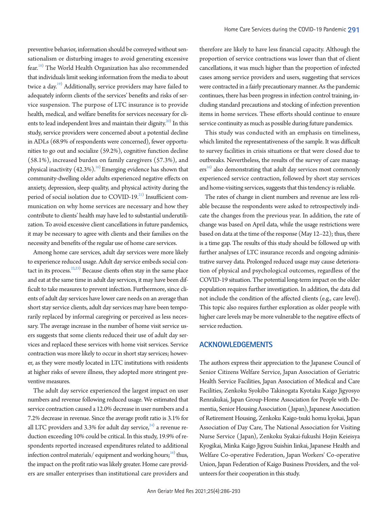preventive behavior, information should be conveyed without sensationalism or disturbing images to avoid generating excessive fear.<sup>[18](#page-6-15))</sup> The World Health Organization has also recommended that individuals limit seeking information from the media to about twice a day.<sup>19)</sup> Additionally, service providers may have failed to adequately inform clients of the services' benefits and risks of service suspension. The purpose of LTC insurance is to provide health, medical, and welfare benefits for services necessary for clients to lead independent lives and maintain their dignity.<sup>20)</sup> In this study, service providers were concerned about a potential decline in ADLs (68.9% of respondents were concerned), fewer opportunities to go out and socialize (59.2%), cognitive function decline (58.1%), increased burden on family caregivers (57.3%), and physical inactivity  $(42.3\%)$ .<sup>16)</sup> Emerging evidence has shown that community-dwelling older adults experienced negative effects on anxiety, depression, sleep quality, and physical activity during the period of social isolation due to COVID-19.<sup>[21](#page-7-0))</sup> Insufficient communication on why home services are necessary and how they contribute to clients' health may have led to substantial underutilization. To avoid excessive client cancellations in future pandemics, it may be necessary to agree with clients and their families on the necessity and benefits of the regular use of home care services.

Among home care services, adult day services were more likely to experience reduced usage. Adult day service embeds social contact in its process.  $22,23$  $22,23$  Because clients often stay in the same place and eat at the same time in adult day services, it may have been difficult to take measures to prevent infection. Furthermore, since clients of adult day services have lower care needs on an average than short stay service clients, adult day services may have been temporarily replaced by informal caregiving or perceived as less necessary. The average increase in the number of home visit service users suggests that some clients reduced their use of adult day services and replaced these services with home visit services. Service contraction was more likely to occur in short stay services; however, as they were mostly located in LTC institutions with residents at higher risks of severe illness, they adopted more stringent preventive measures.

The adult day service experienced the largest impact on user numbers and revenue following reduced usage. We estimated that service contraction caused a 12.0% decrease in user numbers and a 7.2% decrease in revenue. Since the average profit ratio is 3.1% for all LTC providers and 3.3% for adult day service, $^{24)}$  a revenue reduction exceeding 10% could be critical. In this study, 19.9% of respondents reported increased expenditures related to additional infection control materials/equipment and working hours; $^{16)}$  thus, the impact on the profit ratio was likely greater. Home care providers are smaller enterprises than institutional care providers and

therefore are likely to have less financial capacity. Although the proportion of service contractions was lower than that of client cancellations, it was much higher than the proportion of infected cases among service providers and users, suggesting that services were contracted in a fairly precautionary manner. As the pandemic continues, there has been progress in infection control training, including standard precautions and stocking of infection prevention items in home services. These efforts should continue to ensure service continuity as much as possible during future pandemics.

This study was conducted with an emphasis on timeliness, which limited the representativeness of the sample. It was difficult to survey facilities in crisis situations or that were closed due to outbreaks. Nevertheless, the results of the survey of care managers<sup>16)</sup> also demonstrating that adult day services most commonly experienced service contraction, followed by short stay services and home-visiting services, suggests that this tendency is reliable.

The rates of change in client numbers and revenue are less reliable because the respondents were asked to retrospectively indicate the changes from the previous year. In addition, the rate of change was based on April data, while the usage restrictions were based on data at the time of the response (May 12–22); thus, there is a time gap. The results of this study should be followed up with further analyses of LTC insurance records and ongoing administrative survey data. Prolonged reduced usage may cause deterioration of physical and psychological outcomes, regardless of the COVID-19 situation. The potential long-term impact on the older population requires further investigation. In addition, the data did not include the condition of the affected clients (e.g., care level). This topic also requires further exploration as older people with higher care levels may be more vulnerable to the negative effects of service reduction.

# **ACKNOWLEDGEMENTS**

The authors express their appreciation to the Japanese Council of Senior Citizens Welfare Service, Japan Association of Geriatric Health Service Facilities, Japan Association of Medical and Care Facilities, Zenkoku Syokibo Takinogata Kyotaku Kaigo Jigyosyo Renrakukai, Japan Group-Home Association for People with Dementia, Senior Housing Association (Japan), Japanese Association of Retirement Housing, Zenkoku Kaigo-tsuki homu kyokai, Japan Association of Day Care, The National Association for Visiting Nurse Service ( Japan), Zenkoku Syakai-fukushi Hojin Keieisya Kyogikai, Minka Kaigo Jigyou Suishin Iinkai, Japanese Health and Welfare Co-operative Federation, Japan Workers' Co-operative Union, Japan Federation of Kaigo Business Providers, and the volunteers for their cooperation in this study.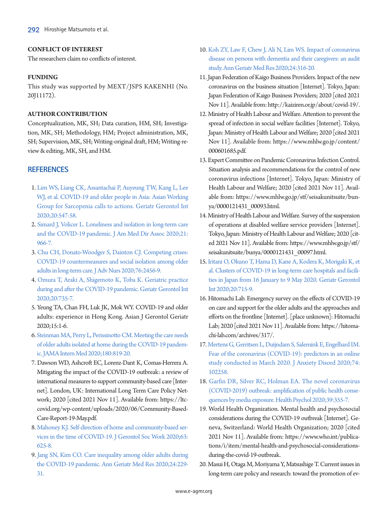### **CONFLICT OF INTEREST**

The researchers claim no conflicts of interest.

# **FUNDING**

This study was supported by MEXT/JSPS KAKENHI (No. 20J11172).

# <span id="page-6-0"></span>**AUTHOR CONTRIBUTION**

Conceptualization, MK, SH; Data curation, HM, SH; Investigation, MK, SH; Methodology, HM; Project administration, MK, SH; Supervision, MK, SH; Writing-original draft, HM; Writing-review & editing, MK, SH, and HM.

# **REFERENCES**

- 1. [Lim WS, Liang CK, Assantachai P, Auyeung TW, Kang L, Lee](https://doi.org/10.1111/ggi.13939)  [WJ, et al. COVID-19 and older people in Asia: Asian Working](https://doi.org/10.1111/ggi.13939)  [Group for Sarcopenia calls to actions. Geriatr Gerontol Int](https://doi.org/10.1111/ggi.13939)  [2020;20:547-58.](https://doi.org/10.1111/ggi.13939)
- <span id="page-6-1"></span>2. [Simard J, Volicer L. Loneliness and isolation in long-term care](https://doi.org/10.1016/j.jamda.2020.05.006)  [and the COVID-19 pandemic. J Am Med Dir Assoc 2020;21:](https://doi.org/10.1016/j.jamda.2020.05.006) [966-7.](https://doi.org/10.1016/j.jamda.2020.05.006)
- <span id="page-6-2"></span>3. [Chu CH, Donato-Woodger S, Dainton CJ. Competing crises:](https://doi.org/10.1111/jan.14467)  [COVID-19 countermeasures and social isolation among older](https://doi.org/10.1111/jan.14467)  [adults in long-term care. J Adv Nurs 2020;76:2456-9.](https://doi.org/10.1111/jan.14467)
- 4. [Omura T, Araki A, Shigemoto K, Toba K. Geriatric practice](https://doi.org/10.1111/ggi.13958)  [during and after the COVID-19 pandemic. Geriatr Gerontol Int](https://doi.org/10.1111/ggi.13958)  [2020;20:735-7.](https://doi.org/10.1111/ggi.13958)
- <span id="page-6-3"></span>5. Yeung TA, Chan FH, Luk JK, Mok WY. COVID-19 and older adults: experience in Hong Kong. Asian J Gerontol Geriatr 2020;15:1-6.
- <span id="page-6-4"></span>6. Steinman MA, Perry L, Perissinotto CM. Meeting the ca[re needs](https://doi.org/10.1001/jamainternmed.2020.1661)  [of older adults isolated at home during the COVID-19 pandem](https://doi.org/10.1001/jamainternmed.2020.1661)[ic. JAMA Intern Med 2020;180:819-20.](https://doi.org/10.1001/jamainternmed.2020.1661)
- <span id="page-6-5"></span>7. Dawson WD, Ashcroft EC, Lorenz-Dant K, Comas-Herrera A. Mitigating the impact of the COVID-19 outbreak: a review of international measures to support community-based care [Internet]. London, UK: International Long Term Care Policy Network; 2020 [cited 2021 Nov 11]. Available from: https://ltccovid.org/wp-content/uploads/2020/06/Community-Based-Care-Report-19-May.pdf.
- 8. [Mahoney KJ. Self-direction of home and community-based ser](https://doi.org/10.1080/01634372.2020.1774833)[vices in the time of COVID-19. J Gerontol Soc Work 2020;63:](https://doi.org/10.1080/01634372.2020.1774833) [625-8.](https://doi.org/10.1080/01634372.2020.1774833)
- <span id="page-6-6"></span>9. [Jang SN, Kim CO. Care inequality among older adults during](https://doi.org/10.4235/agmr.20.0096)  [the COVID-19 pandemic. Ann Geriatr Med Res 2020;24:229-](https://doi.org/10.4235/agmr.20.0096) [31.](https://doi.org/10.4235/agmr.20.0096)
- <span id="page-6-7"></span>10[. Koh ZY, Law F, Chew J, Ali N, Lim WS. Impact of coronavirus](https://doi.org/10.4235/agmr.20.0059)  [disease on persons with dementia and their caregivers: an audit](https://doi.org/10.4235/agmr.20.0059)  [study. Ann Geriatr Med Res 2020;24:316-20](https://doi.org/10.4235/agmr.20.0059).
- <span id="page-6-8"></span>11. Japan Federation of Kaigo Business Providers. Impact of the new coronavirus on the business situation [Internet]. Tokyo, Japan: Japan Federation of Kaigo Business Providers; 2020 [cited 2021 Nov 11]. Available from: [http://kaiziren.or.jp/about/covid-19/.](http://kaiziren.or.jp/about/covid-19/)
- <span id="page-6-9"></span>12. Ministry of Health Labour and Welfare. Attention to prevent the spread of infection in social welfare facilities [Internet]. Tokyo, Japan: Ministry of Health Labour and Welfare; 2020 [cited 2021 Nov 11]. Available from: [https://www.mhlw.go.jp/content/](https://www.mhlw.go.jp/content/000601685.pdf) [000601685.pdf.](https://www.mhlw.go.jp/content/000601685.pdf)
- <span id="page-6-10"></span>13. Expert Committee on Pandemic Coronavirus Infection Control. Situation analysis and recommendations for the control of new coronavirus infections [Internet]. Tokyo, Japan: Ministry of Health Labour and Welfare; 2020 [cited 2021 Nov 11]. Available from: https:[//www.mhlw.go.jp/stf/seisakunitsuite/bun](https://www.mhlw.go.jp/stf/seisakunitsuite/bunya/0000121431_00093.html)[ya/0000121431\\_00093.html.](https://www.mhlw.go.jp/stf/seisakunitsuite/bunya/0000121431_00093.html)
- <span id="page-6-11"></span>14. Ministry of Health Labour and Welfare. Survey of the suspension of operations at disabled welfare service providers [Internet]. Tokyo, Japan: Ministry of Health Labour and Welfare; 2020 [cited 2021 Nov 11]. Available from: [https://www.mhlw.go.jp/stf/](https://www.mhlw.go.jp/stf/seisakunitsuite/bunya/0000121431_00097.html) [seisakunitsuite/bunya/0000121431\\_00097.html.](https://www.mhlw.go.jp/stf/seisakunitsuite/bunya/0000121431_00097.html)
- <span id="page-6-12"></span>15. [Iritani O, Okuno T, Hama D, Kane A, Kodera K, Morigaki K, et](https://doi.org/10.1111/ggi.13973)  [al. Clusters of COVID-19 in long-term care hospitals and facili](https://doi.org/10.1111/ggi.13973)[ties in Japan from 16 January to 9 May 2020. Geriatr Gerontol](https://doi.org/10.1111/ggi.13973)  [Int 2020;20:715-9.](https://doi.org/10.1111/ggi.13973)
- <span id="page-6-13"></span>16. Hitomachi Lab. Emergency survey on the effects of COVID-19 on care and support for the older adults and the approaches and efforts on the frontline [Internet]. [place unknown]: Hitomachi Lab; 2020 [cited 2021 Nov 11]. Available from: [https://hitoma](https://hitomachi-lab.com/archives/317/)[chi-lab.com/archives/317/.](https://hitomachi-lab.com/archives/317/)
- <span id="page-6-14"></span>17. [Mertens G, Gerritsen L, Duijndam S, Salemink E, Engelhard IM.](https://doi.org/10.1016/j.janxdis.2020.102258)  [Fear of the coronavirus \(COVID-19\): predictors in an online](https://doi.org/10.1016/j.janxdis.2020.102258)  [study conducted in March 2020. J Anxiety Disord 2020;74:](https://doi.org/10.1016/j.janxdis.2020.102258) [102258.](https://doi.org/10.1016/j.janxdis.2020.102258)
- <span id="page-6-15"></span>1[8. Garfin DR, Silver RC, Holman EA. The novel coronavirus](https://doi.org/10.1037/hea0000875)  [\(COVID-2019\) outbreak: amplification of public health conse](https://doi.org/10.1037/hea0000875)[quences by media exposure. Health Psychol 2020;39:355-7](https://doi.org/10.1037/hea0000875).
- <span id="page-6-16"></span>19. World Health Organization. Mental health and psychosocial considerations during the COVID-19 outbreak [Internet]. Geneva, Switzerland: World Health Organization; 2020 [cited 2021 Nov 11]. Available from: [https://www.who.int/publica](https://www.who.int/publications/i/item/mental-health-and-psychosocial-considerations-during-the-covid-19-outbreak)[tions/i/item/mental-health-and-psychosocial-considerations](https://www.who.int/publications/i/item/mental-health-and-psychosocial-considerations-during-the-covid-19-outbreak)[during-the-covid-19-outbreak](https://www.who.int/publications/i/item/mental-health-and-psychosocial-considerations-during-the-covid-19-outbreak).
- <span id="page-6-17"></span>20. Masui H, Otaga M, Moriyama Y, Matsushige T. Current issues in long-term care policy and research: toward the promotion of ev-